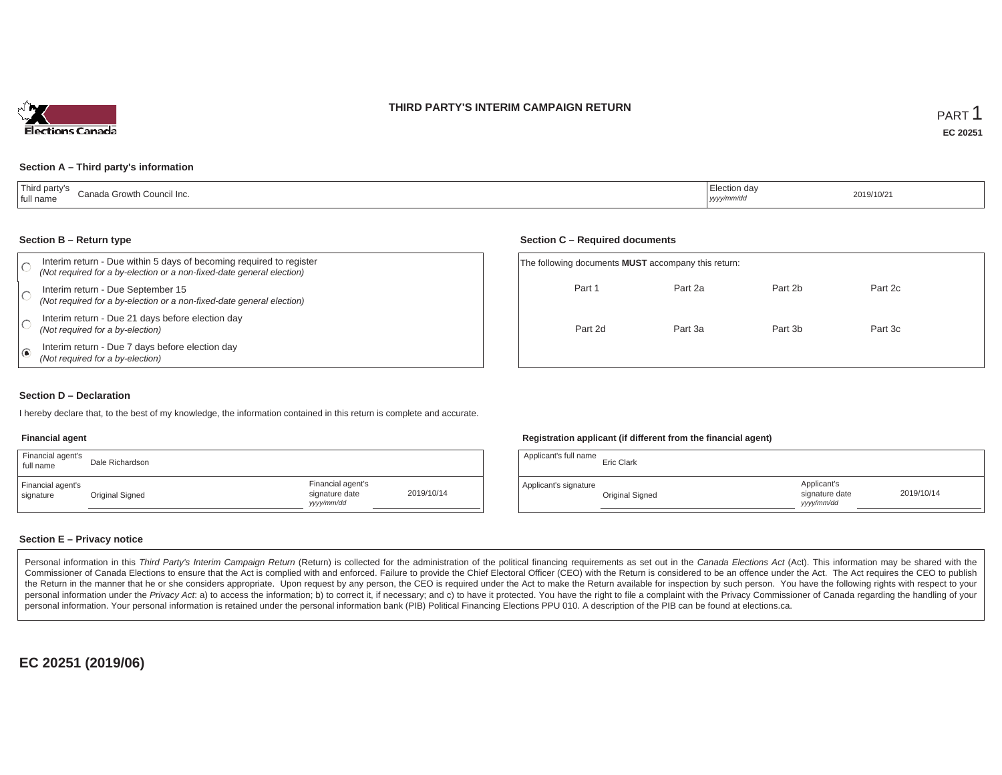### **THIRD PARTY'S INTERIM CAMPAIGN RETURN**



#### **Section A – Third party's information**

| Third party's<br>:lection dav<br>Canada Growth Council Inc.<br>full name<br>yyyy/mm/dd | 2019/10/2 |
|----------------------------------------------------------------------------------------|-----------|
|----------------------------------------------------------------------------------------|-----------|

#### **Section B – Return type**

| Interim return - Due within 5 days of becoming required to register<br>(Not required for a by-election or a non-fixed-date general election) | The following documents <b>MUST</b> accompany this return: |         |         |         |  |  |
|----------------------------------------------------------------------------------------------------------------------------------------------|------------------------------------------------------------|---------|---------|---------|--|--|
| Interim return - Due September 15<br>(Not required for a by-election or a non-fixed-date general election)                                   | Part 1                                                     | Part 2a | Part 2b | Part 2c |  |  |
| Interim return - Due 21 days before election day<br>(Not required for a by-election)                                                         | Part 2d                                                    | Part 3a | Part 3b | Part 3c |  |  |
| Interim return - Due 7 days before election day<br>(Not required for a by-election)                                                          |                                                            |         |         |         |  |  |

#### **Section D – Declaration**

I hereby declare that, to the best of my knowledge, the information contained in this return is complete and accurate.

#### **Financial agent**

| Financial agent's<br>full name | Dale Richardson |                                                  |            |
|--------------------------------|-----------------|--------------------------------------------------|------------|
| Financial agent's<br>signature | Original Signed | Financial agent's<br>signature date<br>vyy/mm/dd | 2019/10/14 |

#### **Registration applicant (if different from the financial agent)**

**Section C – Required documents**

| Applicant's full name | Eric Clark      |                                            |            |
|-----------------------|-----------------|--------------------------------------------|------------|
| Applicant's signature | Original Signed | Applicant's<br>signature date<br>vyy/mm/dd | 2019/10/14 |

#### **Section E – Privacy notice**

Personal information in this Third Party's Interim Campaign Return (Return) is collected for the administration of the political financing requirements as set out in the Canada Elections Act (Act). This information may be Commissioner of Canada Elections to ensure that the Act is complied with and enforced. Failure to provide the Chief Electoral Officer (CEO) with the Return is considered to be an offence under the Act. The Act requires the the Return in the manner that he or she considers appropriate. Upon request by any person, the CEO is required under the Act to make the Return available for inspection by such person. You have the following rights with re personal information under the Privacy Act. a) to access the information; b) to correct it, if necessary; and c) to have it protected. You have the right to file a complaint with the Privacy Commissioner of Canada regardin personal information. Your personal information is retained under the personal information bank (PIB) Political Financing Elections PPU 010. A description of the PIB can be found at elections.ca.

**EC 20251 (2019/06)**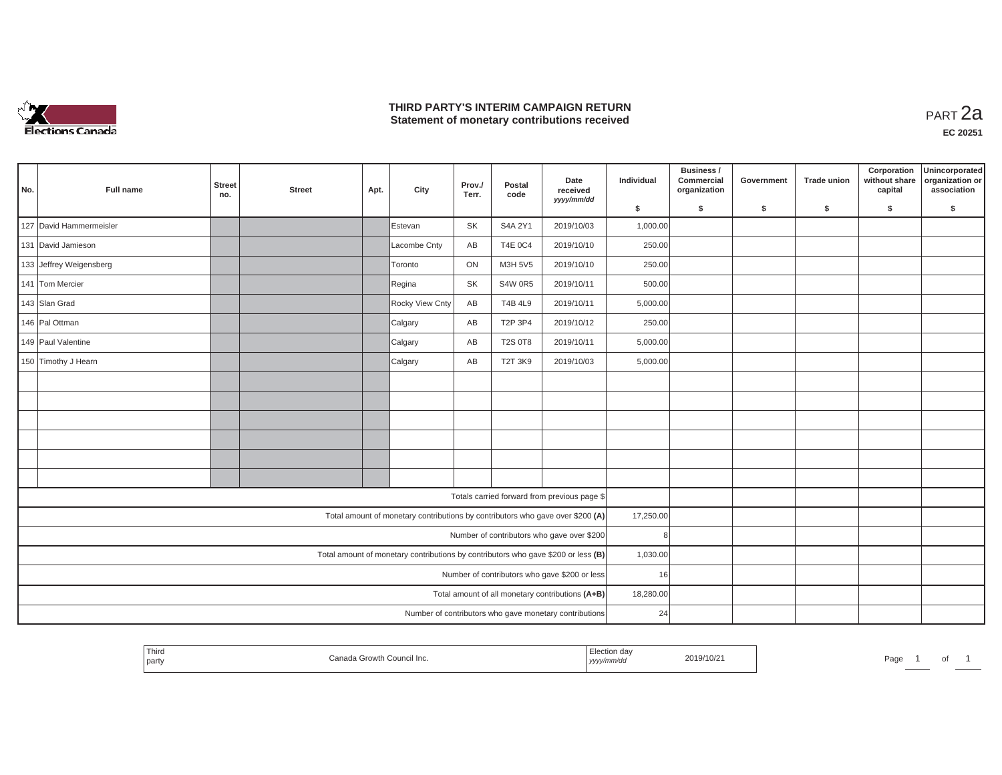

## **THIRD PARTY'S INTERIM CAMPAIGN RETURN THIRD PARTY'S INTERIM CAMPAIGN RETURN<br>Statement of monetary contributions received**

| No. | Full name                                                                         | <b>Street</b><br>no. | <b>Street</b> | Apt. | City                                                                           | Prov./<br>Terr. | Postal<br>code | Date<br>received<br>yyyy/mm/dd                         | Individual | Business /<br>Commercial<br>organization | Government | Trade union | Corporation<br>without share<br>capital | Unincorporated<br>organization or<br>association |
|-----|-----------------------------------------------------------------------------------|----------------------|---------------|------|--------------------------------------------------------------------------------|-----------------|----------------|--------------------------------------------------------|------------|------------------------------------------|------------|-------------|-----------------------------------------|--------------------------------------------------|
|     |                                                                                   |                      |               |      |                                                                                |                 |                |                                                        | \$         | S.                                       | \$         | \$          | \$                                      | S.                                               |
|     | 127 David Hammermeisler                                                           |                      |               |      | Estevan                                                                        | <b>SK</b>       | S4A 2Y1        | 2019/10/03                                             | 1,000.00   |                                          |            |             |                                         |                                                  |
|     | 131 David Jamieson                                                                |                      |               |      | Lacombe Cnty                                                                   | AB              | <b>T4E 0C4</b> | 2019/10/10                                             | 250.00     |                                          |            |             |                                         |                                                  |
|     | 133 Jeffrey Weigensberg                                                           |                      |               |      | Toronto                                                                        | ON              | M3H 5V5        | 2019/10/10                                             | 250.00     |                                          |            |             |                                         |                                                  |
|     | 141 Tom Mercier                                                                   |                      |               |      | Regina                                                                         | SK              | <b>S4W 0R5</b> | 2019/10/11                                             | 500.00     |                                          |            |             |                                         |                                                  |
|     | 143 Slan Grad                                                                     |                      |               |      | Rocky View Cnty                                                                | AB              | <b>T4B 4L9</b> | 2019/10/11                                             | 5,000.00   |                                          |            |             |                                         |                                                  |
|     | 146 Pal Ottman                                                                    |                      |               |      | Calgary                                                                        | AB              | T2P 3P4        | 2019/10/12                                             | 250.00     |                                          |            |             |                                         |                                                  |
|     | 149 Paul Valentine                                                                |                      |               |      | Calgary                                                                        | AB              | <b>T2S 0T8</b> | 2019/10/11                                             | 5,000.00   |                                          |            |             |                                         |                                                  |
|     | 150 Timothy J Hearn                                                               |                      |               |      | Calgary                                                                        | AB              | <b>T2T 3K9</b> | 2019/10/03                                             | 5,000.00   |                                          |            |             |                                         |                                                  |
|     |                                                                                   |                      |               |      |                                                                                |                 |                |                                                        |            |                                          |            |             |                                         |                                                  |
|     |                                                                                   |                      |               |      |                                                                                |                 |                |                                                        |            |                                          |            |             |                                         |                                                  |
|     |                                                                                   |                      |               |      |                                                                                |                 |                |                                                        |            |                                          |            |             |                                         |                                                  |
|     |                                                                                   |                      |               |      |                                                                                |                 |                |                                                        |            |                                          |            |             |                                         |                                                  |
|     |                                                                                   |                      |               |      |                                                                                |                 |                |                                                        |            |                                          |            |             |                                         |                                                  |
|     |                                                                                   |                      |               |      |                                                                                |                 |                |                                                        |            |                                          |            |             |                                         |                                                  |
|     |                                                                                   |                      |               |      |                                                                                |                 |                | Totals carried forward from previous page \$           |            |                                          |            |             |                                         |                                                  |
|     |                                                                                   |                      |               |      | Total amount of monetary contributions by contributors who gave over \$200 (A) |                 |                |                                                        | 17,250.00  |                                          |            |             |                                         |                                                  |
|     | Number of contributors who gave over \$200                                        |                      |               |      |                                                                                |                 |                |                                                        | 8          |                                          |            |             |                                         |                                                  |
|     | Total amount of monetary contributions by contributors who gave \$200 or less (B) |                      |               |      |                                                                                |                 |                |                                                        | 1,030.00   |                                          |            |             |                                         |                                                  |
|     |                                                                                   |                      |               |      |                                                                                |                 |                | Number of contributors who gave \$200 or less          | 16         |                                          |            |             |                                         |                                                  |
|     |                                                                                   |                      |               |      |                                                                                |                 |                | Total amount of all monetary contributions (A+B)       | 18,280.00  |                                          |            |             |                                         |                                                  |
|     |                                                                                   |                      |               |      |                                                                                |                 |                | Number of contributors who gave monetary contributions | 24         |                                          |            |             |                                         |                                                  |

| Third<br>  party | ∴anar<br>COUNCIL INC.<br>. rowth | 2019/10/21<br>,,,,, | Page<br>ັ |
|------------------|----------------------------------|---------------------|-----------|
|------------------|----------------------------------|---------------------|-----------|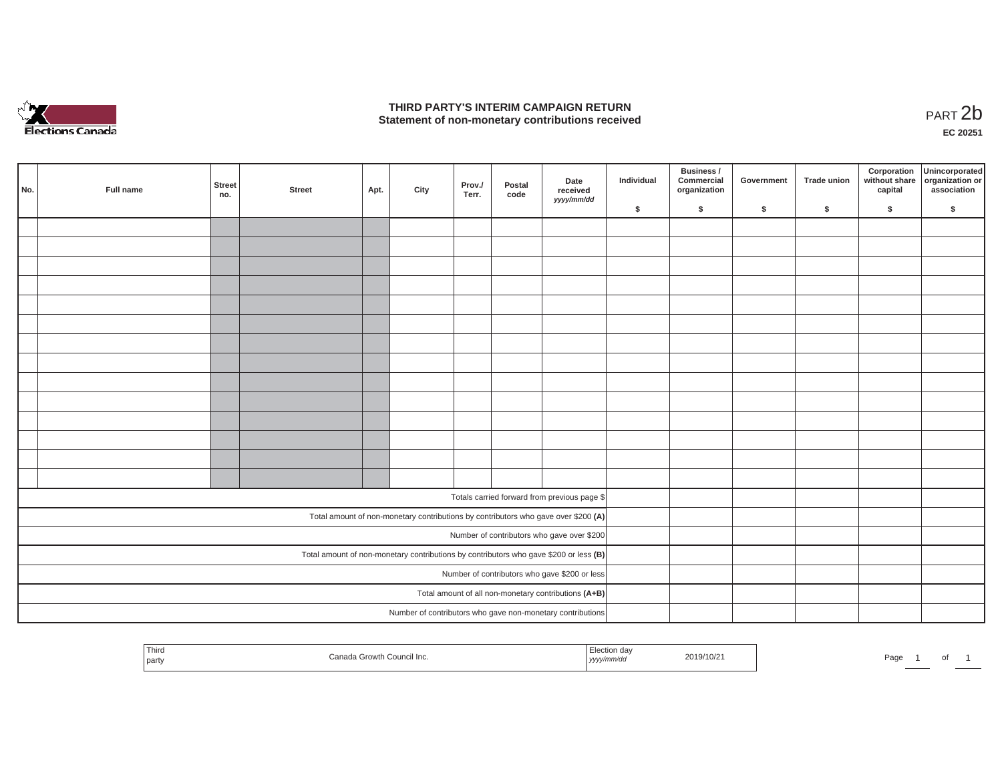

## **THIRD PARTY'S INTERIM CAMPAIGN RETURN**  THIRD PARTY'S INTERIM CAMPAIGN RETURN<br>Statement of non-monetary contributions received<br>**PART 2**b

**EC 20251**

| No.                                                                                   | Full name | Street<br>no. | <b>Street</b> | Apt. | City | Prov./<br>Terr. | Postal<br>code | Date<br>received<br>yyyy/mm/dd                                                     | Individual | Business /<br>Commercial<br>organization | Government | Trade union | Corporation<br>capital | Unincorporated<br>without share organization or<br>association |
|---------------------------------------------------------------------------------------|-----------|---------------|---------------|------|------|-----------------|----------------|------------------------------------------------------------------------------------|------------|------------------------------------------|------------|-------------|------------------------|----------------------------------------------------------------|
|                                                                                       |           |               |               |      |      |                 |                |                                                                                    | \$         | $\mathsf{s}$                             | \$         | $\sqrt{2}$  | \$                     | \$                                                             |
|                                                                                       |           |               |               |      |      |                 |                |                                                                                    |            |                                          |            |             |                        |                                                                |
|                                                                                       |           |               |               |      |      |                 |                |                                                                                    |            |                                          |            |             |                        |                                                                |
|                                                                                       |           |               |               |      |      |                 |                |                                                                                    |            |                                          |            |             |                        |                                                                |
|                                                                                       |           |               |               |      |      |                 |                |                                                                                    |            |                                          |            |             |                        |                                                                |
|                                                                                       |           |               |               |      |      |                 |                |                                                                                    |            |                                          |            |             |                        |                                                                |
|                                                                                       |           |               |               |      |      |                 |                |                                                                                    |            |                                          |            |             |                        |                                                                |
|                                                                                       |           |               |               |      |      |                 |                |                                                                                    |            |                                          |            |             |                        |                                                                |
|                                                                                       |           |               |               |      |      |                 |                |                                                                                    |            |                                          |            |             |                        |                                                                |
|                                                                                       |           |               |               |      |      |                 |                |                                                                                    |            |                                          |            |             |                        |                                                                |
|                                                                                       |           |               |               |      |      |                 |                |                                                                                    |            |                                          |            |             |                        |                                                                |
|                                                                                       |           |               |               |      |      |                 |                |                                                                                    |            |                                          |            |             |                        |                                                                |
|                                                                                       |           |               |               |      |      |                 |                |                                                                                    |            |                                          |            |             |                        |                                                                |
|                                                                                       |           |               |               |      |      |                 |                |                                                                                    |            |                                          |            |             |                        |                                                                |
|                                                                                       |           |               |               |      |      |                 |                |                                                                                    |            |                                          |            |             |                        |                                                                |
|                                                                                       |           |               |               |      |      |                 |                |                                                                                    |            |                                          |            |             |                        |                                                                |
|                                                                                       |           |               |               |      |      |                 |                | Totals carried forward from previous page \$                                       |            |                                          |            |             |                        |                                                                |
|                                                                                       |           |               |               |      |      |                 |                | Total amount of non-monetary contributions by contributors who gave over \$200 (A) |            |                                          |            |             |                        |                                                                |
|                                                                                       |           |               |               |      |      |                 |                | Number of contributors who gave over \$200                                         |            |                                          |            |             |                        |                                                                |
| Total amount of non-monetary contributions by contributors who gave \$200 or less (B) |           |               |               |      |      |                 |                |                                                                                    |            |                                          |            |             |                        |                                                                |
|                                                                                       |           |               |               |      |      |                 |                | Number of contributors who gave \$200 or less                                      |            |                                          |            |             |                        |                                                                |
|                                                                                       |           |               |               |      |      |                 |                | Total amount of all non-monetary contributions (A+B)                               |            |                                          |            |             |                        |                                                                |
|                                                                                       |           |               |               |      |      |                 |                | Number of contributors who gave non-monetary contributions                         |            |                                          |            |             |                        |                                                                |
|                                                                                       |           |               |               |      |      |                 |                |                                                                                    |            |                                          |            |             |                        |                                                                |

| Third<br>– ection da∨<br>2019/10/21<br>Canada Growth Council Inc.<br>Page<br>  party<br>yyyy/mm/dd |  | ◡ |  |
|----------------------------------------------------------------------------------------------------|--|---|--|
|----------------------------------------------------------------------------------------------------|--|---|--|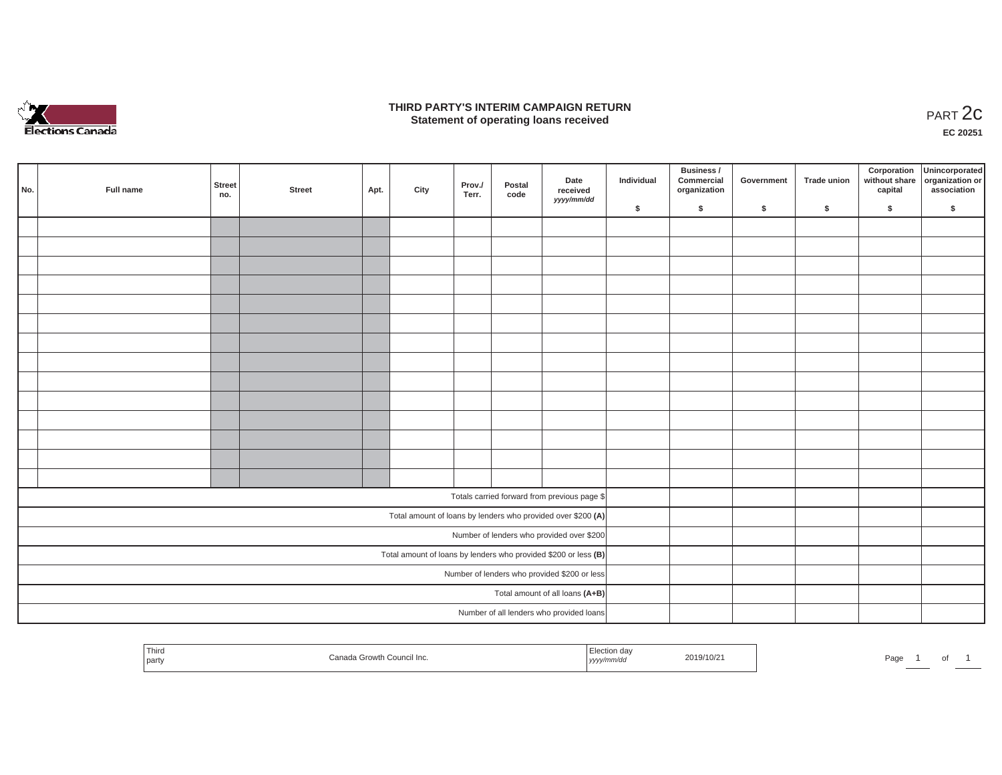

### **THIRD PARTY'S INTERIM CAMPAIGN RETURN**  RD PARTY'S INTERIM CAMPAIGN RETURN<br>Statement of operating loans received **PART 2c**

**EC 20251**

| No. | Full name                                 | <b>Street</b><br>no. | <b>Street</b> | Apt. | City | Prov./<br>Terr. | Postal<br>code | Date<br>received<br>yyyy/mm/dd                                    | Individual | Business /<br>Commercial<br>organization | Government | Trade union | Corporation<br>capital | Unincorporated<br>without share organization or<br>association |
|-----|-------------------------------------------|----------------------|---------------|------|------|-----------------|----------------|-------------------------------------------------------------------|------------|------------------------------------------|------------|-------------|------------------------|----------------------------------------------------------------|
|     |                                           |                      |               |      |      |                 |                |                                                                   | \$         | $\sqrt{2}$                               | \$         | $\sqrt{2}$  | \$                     | \$                                                             |
|     |                                           |                      |               |      |      |                 |                |                                                                   |            |                                          |            |             |                        |                                                                |
|     |                                           |                      |               |      |      |                 |                |                                                                   |            |                                          |            |             |                        |                                                                |
|     |                                           |                      |               |      |      |                 |                |                                                                   |            |                                          |            |             |                        |                                                                |
|     |                                           |                      |               |      |      |                 |                |                                                                   |            |                                          |            |             |                        |                                                                |
|     |                                           |                      |               |      |      |                 |                |                                                                   |            |                                          |            |             |                        |                                                                |
|     |                                           |                      |               |      |      |                 |                |                                                                   |            |                                          |            |             |                        |                                                                |
|     |                                           |                      |               |      |      |                 |                |                                                                   |            |                                          |            |             |                        |                                                                |
|     |                                           |                      |               |      |      |                 |                |                                                                   |            |                                          |            |             |                        |                                                                |
|     |                                           |                      |               |      |      |                 |                |                                                                   |            |                                          |            |             |                        |                                                                |
|     |                                           |                      |               |      |      |                 |                |                                                                   |            |                                          |            |             |                        |                                                                |
|     |                                           |                      |               |      |      |                 |                |                                                                   |            |                                          |            |             |                        |                                                                |
|     |                                           |                      |               |      |      |                 |                |                                                                   |            |                                          |            |             |                        |                                                                |
|     |                                           |                      |               |      |      |                 |                |                                                                   |            |                                          |            |             |                        |                                                                |
|     |                                           |                      |               |      |      |                 |                |                                                                   |            |                                          |            |             |                        |                                                                |
|     |                                           |                      |               |      |      |                 |                | Totals carried forward from previous page \$                      |            |                                          |            |             |                        |                                                                |
|     |                                           |                      |               |      |      |                 |                | Total amount of loans by lenders who provided over \$200 (A)      |            |                                          |            |             |                        |                                                                |
|     | Number of lenders who provided over \$200 |                      |               |      |      |                 |                |                                                                   |            |                                          |            |             |                        |                                                                |
|     |                                           |                      |               |      |      |                 |                | Total amount of loans by lenders who provided \$200 or less $(B)$ |            |                                          |            |             |                        |                                                                |
|     |                                           |                      |               |      |      |                 |                | Number of lenders who provided \$200 or less                      |            |                                          |            |             |                        |                                                                |
|     |                                           |                      |               |      |      |                 |                | Total amount of all loans (A+B)                                   |            |                                          |            |             |                        |                                                                |
|     |                                           |                      |               |      |      |                 |                | Number of all lenders who provided loans                          |            |                                          |            |             |                        |                                                                |

| <sup>I</sup> Third<br><sup>১</sup> h Council Inc.<br>Canada Growth<br>party | Election day<br>2019/10/21<br>yyyy/mm/dd | Page |
|-----------------------------------------------------------------------------|------------------------------------------|------|
|-----------------------------------------------------------------------------|------------------------------------------|------|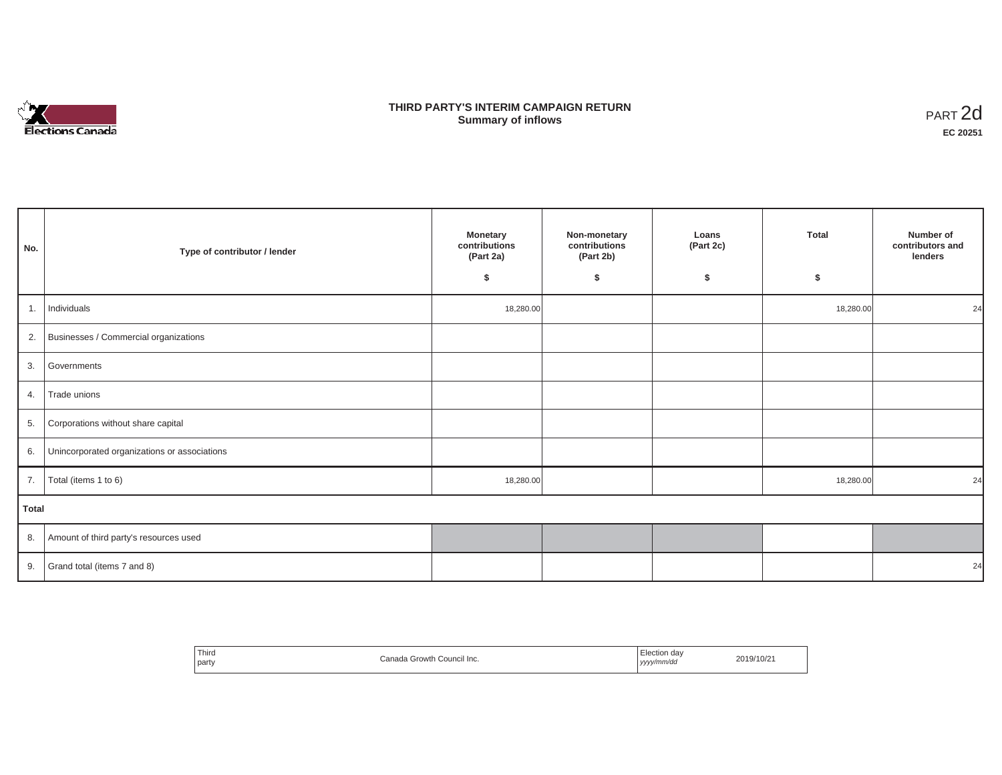

## **THIRD PARTY'S INTERIM CAMPAIGN RETURN SUMMARY STATE SUMMARY OF A SUMMARY OF A SUMMARY OF A SUMMARY OF A SUMMARY OF A SUMMARY OF A SUMMARY OF A SUMMA**<br> **Summary of inflows**

| No.          | Type of contributor / lender                    | <b>Monetary</b><br>contributions<br>(Part 2a)<br>\$ | Non-monetary<br>contributions<br>(Part 2b)<br>\$ | Loans<br>(Part 2c)<br>\$ | Total<br>\$ | Number of<br>contributors and<br>lenders |  |  |  |  |
|--------------|-------------------------------------------------|-----------------------------------------------------|--------------------------------------------------|--------------------------|-------------|------------------------------------------|--|--|--|--|
| 1.           | Individuals                                     | 18,280.00                                           |                                                  |                          | 18,280.00   | 24                                       |  |  |  |  |
|              | 2. Businesses / Commercial organizations        |                                                     |                                                  |                          |             |                                          |  |  |  |  |
|              | 3. Governments                                  |                                                     |                                                  |                          |             |                                          |  |  |  |  |
| 4.           | Trade unions                                    |                                                     |                                                  |                          |             |                                          |  |  |  |  |
|              | 5. Corporations without share capital           |                                                     |                                                  |                          |             |                                          |  |  |  |  |
|              | 6. Unincorporated organizations or associations |                                                     |                                                  |                          |             |                                          |  |  |  |  |
| 7.           | Total (items 1 to 6)                            | 18,280.00                                           |                                                  |                          | 18,280.00   | 24                                       |  |  |  |  |
| <b>Total</b> |                                                 |                                                     |                                                  |                          |             |                                          |  |  |  |  |
|              | 8. Amount of third party's resources used       |                                                     |                                                  |                          |             |                                          |  |  |  |  |
|              | 9. Grand total (items $7$ and $8$ )             |                                                     |                                                  |                          |             | 24                                       |  |  |  |  |

| ' Third<br>Canada Growth Council Inc.<br>party | - -<br>Election day<br>2019/10/21<br>yyyy/mm/dd<br>. |
|------------------------------------------------|------------------------------------------------------|
|------------------------------------------------|------------------------------------------------------|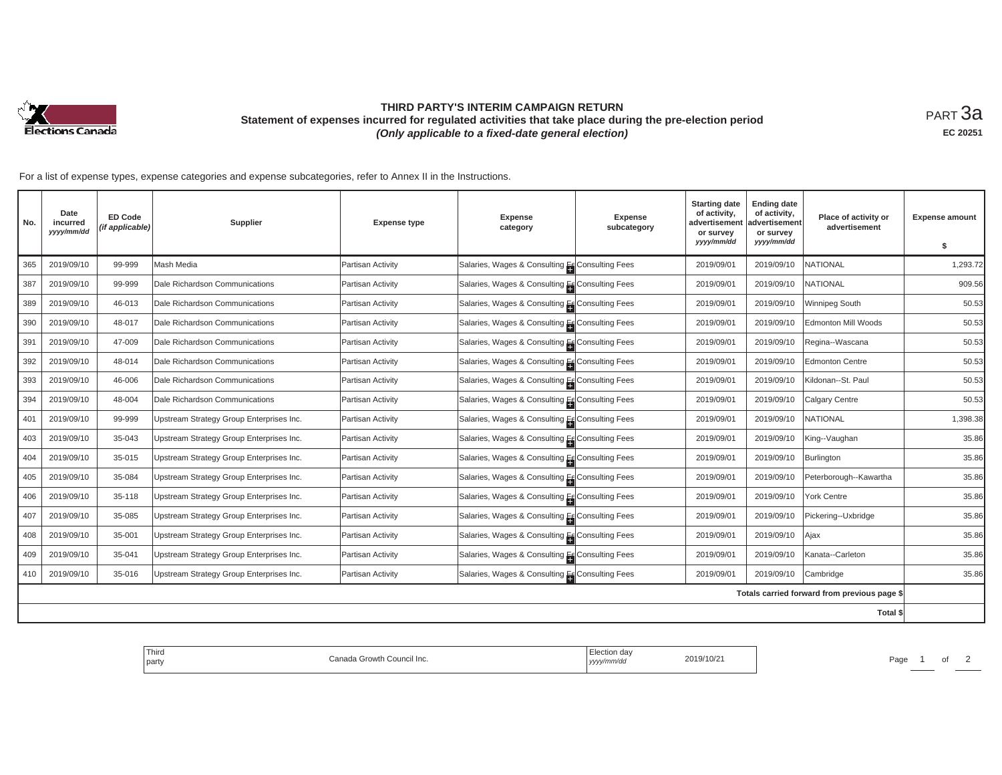

# **THIRD PARTY'S INTERIM CAMPAIGN RETURN Statement of expenses incurred for regulated activities that take place during the pre-election period**  *(Only applicable to a fixed-date general election)*

<code>PART $3$ a</code> **EC 20251**

| No. | Date<br>incurred<br>yyyy/mm/dd | <b>ED Code</b><br>(if applicable) | Supplier                                 | <b>Expense type</b> | <b>Expense</b><br>category                      | Expense<br>subcategory | <b>Starting date</b><br>of activity,<br>advertisemen<br>or survey<br>yyyy/mm/dd | <b>Ending date</b><br>of activity,<br>advertisement<br>or survey<br>yyyy/mm/dd | Place of activity or<br>advertisement        | <b>Expense amount</b><br>-S |
|-----|--------------------------------|-----------------------------------|------------------------------------------|---------------------|-------------------------------------------------|------------------------|---------------------------------------------------------------------------------|--------------------------------------------------------------------------------|----------------------------------------------|-----------------------------|
| 365 | 2019/09/10                     | 99-999                            | Mash Media                               | Partisan Activity   | Salaries, Wages & Consulting E Consulting Fees  |                        | 2019/09/01                                                                      | 2019/09/10                                                                     | <b>NATIONAL</b>                              | 1,293.72                    |
| 387 | 2019/09/10                     | 99-999                            | Dale Richardson Communications           | Partisan Activity   | Salaries, Wages & Consulting Ef Consulting Fees |                        | 2019/09/01                                                                      | 2019/09/10                                                                     | <b>NATIONAL</b>                              | 909.56                      |
| 389 | 2019/09/10                     | 46-013                            | Dale Richardson Communications           | Partisan Activity   | Salaries, Wages & Consulting Es Consulting Fees |                        | 2019/09/01                                                                      | 2019/09/10                                                                     | Winnipeg South                               | 50.53                       |
| 390 | 2019/09/10                     | 48-017                            | Dale Richardson Communications           | Partisan Activity   | Salaries, Wages & Consulting Es Consulting Fees |                        | 2019/09/01                                                                      | 2019/09/10                                                                     | <b>Edmonton Mill Woods</b>                   | 50.53                       |
| 391 | 2019/09/10                     | 47-009                            | Dale Richardson Communications           | Partisan Activity   | Salaries, Wages & Consulting En Consulting Fees |                        | 2019/09/01                                                                      | 2019/09/10                                                                     | Regina--Wascana                              | 50.53                       |
| 392 | 2019/09/10                     | 48-014                            | Dale Richardson Communications           | Partisan Activity   | Salaries, Wages & Consulting Es Consulting Fees |                        | 2019/09/01                                                                      | 2019/09/10                                                                     | <b>Edmonton Centre</b>                       | 50.53                       |
| 393 | 2019/09/10                     | 46-006                            | Dale Richardson Communications           | Partisan Activity   | Salaries, Wages & Consulting En Consulting Fees |                        | 2019/09/01                                                                      | 2019/09/10                                                                     | Kildonan--St. Paul                           | 50.53                       |
| 394 | 2019/09/10                     | 48-004                            | Dale Richardson Communications           | Partisan Activity   | Salaries, Wages & Consulting Es Consulting Fees |                        | 2019/09/01                                                                      | 2019/09/10                                                                     | Calgary Centre                               | 50.53                       |
| 401 | 2019/09/10                     | 99-999                            | Upstream Strategy Group Enterprises Inc. | Partisan Activity   | Salaries, Wages & Consulting E Consulting Fees  |                        | 2019/09/01                                                                      | 2019/09/10                                                                     | <b>NATIONAL</b>                              | 1,398.38                    |
| 403 | 2019/09/10                     | 35-043                            | Upstream Strategy Group Enterprises Inc. | Partisan Activity   | Salaries, Wages & Consulting Es Consulting Fees |                        | 2019/09/01                                                                      | 2019/09/10                                                                     | King--Vaughan                                | 35.86                       |
| 404 | 2019/09/10                     | 35-015                            | Upstream Strategy Group Enterprises Inc. | Partisan Activity   | Salaries, Wages & Consulting Ef Consulting Fees |                        | 2019/09/01                                                                      | 2019/09/10                                                                     | Burlington                                   | 35.86                       |
| 405 | 2019/09/10                     | 35-084                            | Upstream Strategy Group Enterprises Inc. | Partisan Activity   | Salaries, Wages & Consulting Es Consulting Fees |                        | 2019/09/01                                                                      | 2019/09/10                                                                     | Peterborough--Kawartha                       | 35.86                       |
| 406 | 2019/09/10                     | 35-118                            | Upstream Strategy Group Enterprises Inc. | Partisan Activity   | Salaries, Wages & Consulting E Consulting Fees  |                        | 2019/09/01                                                                      | 2019/09/10                                                                     | York Centre                                  | 35.86                       |
| 407 | 2019/09/10                     | 35-085                            | Upstream Strategy Group Enterprises Inc. | Partisan Activity   | Salaries, Wages & Consulting Ef Consulting Fees |                        | 2019/09/01                                                                      | 2019/09/10                                                                     | Pickering--Uxbridge                          | 35.86                       |
| 408 | 2019/09/10                     | 35-001                            | Upstream Strategy Group Enterprises Inc. | Partisan Activity   | Salaries, Wages & Consulting Es Consulting Fees |                        | 2019/09/01                                                                      | 2019/09/10                                                                     | Ajax                                         | 35.86                       |
| 409 | 2019/09/10                     | 35-041                            | Upstream Strategy Group Enterprises Inc. | Partisan Activity   | Salaries, Wages & Consulting Es Consulting Fees |                        | 2019/09/01                                                                      | 2019/09/10                                                                     | Kanata--Carleton                             | 35.86                       |
| 410 | 2019/09/10                     | 35-016                            | Upstream Strategy Group Enterprises Inc. | Partisan Activity   | Salaries, Wages & Consulting Es Consulting Fees |                        | 2019/09/01                                                                      | 2019/09/10                                                                     | Cambridge                                    | 35.86                       |
|     |                                |                                   |                                          |                     |                                                 |                        |                                                                                 |                                                                                | Totals carried forward from previous page \$ |                             |
|     |                                |                                   |                                          |                     |                                                 |                        |                                                                                 |                                                                                | Total \$                                     |                             |

| ' Third<br>Council Inc.<br>  party | 110/2<br>,,,,, | Page |
|------------------------------------|----------------|------|
|------------------------------------|----------------|------|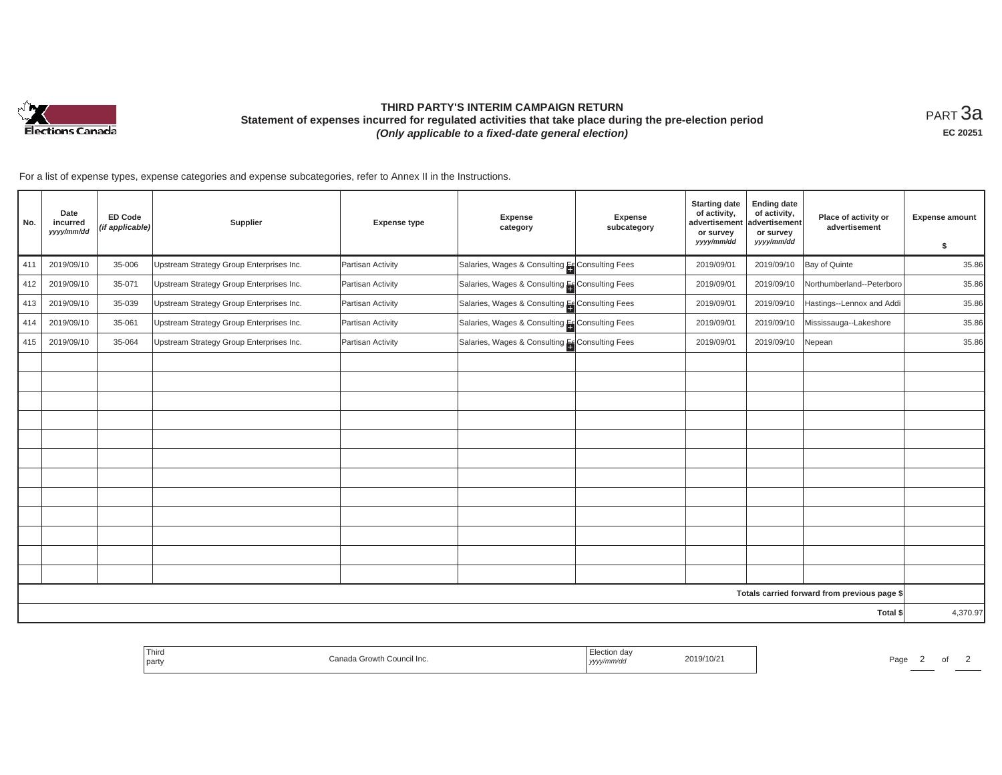

# **THIRD PARTY'S INTERIM CAMPAIGN RETURN Statement of expenses incurred for regulated activities that take place during the pre-election period**  *(Only applicable to a fixed-date general election)*

<code>PART $3$ a</code> **EC 20251**

| No. | Date<br>incurred<br>yyyy/mm/dd | <b>ED Code</b><br>(if applicable) | Supplier                                 | <b>Expense type</b> | Expense<br>category                             | Expense<br>subcategory | <b>Starting date</b><br>of activity,<br>advertisement<br>or survey<br>yyyy/mm/dd | <b>Ending date</b><br>of activity,<br>advertisement<br>or survey<br>yyyy/mm/dd | Place of activity or<br>advertisement        | <b>Expense amount</b><br>\$ |
|-----|--------------------------------|-----------------------------------|------------------------------------------|---------------------|-------------------------------------------------|------------------------|----------------------------------------------------------------------------------|--------------------------------------------------------------------------------|----------------------------------------------|-----------------------------|
| 411 | 2019/09/10                     | 35-006                            | Upstream Strategy Group Enterprises Inc. | Partisan Activity   | Salaries, Wages & Consulting El Consulting Fees |                        | 2019/09/01                                                                       | 2019/09/10                                                                     | Bay of Quinte                                | 35.86                       |
| 412 | 2019/09/10                     | 35-071                            | Upstream Strategy Group Enterprises Inc. | Partisan Activity   | Salaries, Wages & Consulting Es Consulting Fees |                        | 2019/09/01                                                                       | 2019/09/10                                                                     | Northumberland--Peterboro                    | 35.86                       |
| 413 | 2019/09/10                     | 35-039                            | Upstream Strategy Group Enterprises Inc. | Partisan Activity   | Salaries, Wages & Consulting Es Consulting Fees |                        | 2019/09/01                                                                       | 2019/09/10                                                                     | Hastings--Lennox and Addi                    | 35.86                       |
| 414 | 2019/09/10                     | 35-061                            | Upstream Strategy Group Enterprises Inc. | Partisan Activity   | Salaries, Wages & Consulting Es Consulting Fees |                        | 2019/09/01                                                                       | 2019/09/10                                                                     | Mississauga--Lakeshore                       | 35.86                       |
| 415 | 2019/09/10                     | 35-064                            | Upstream Strategy Group Enterprises Inc. | Partisan Activity   | Salaries, Wages & Consulting El Consulting Fees |                        | 2019/09/01                                                                       | 2019/09/10                                                                     | Nepean                                       | 35.86                       |
|     |                                |                                   |                                          |                     |                                                 |                        |                                                                                  |                                                                                |                                              |                             |
|     |                                |                                   |                                          |                     |                                                 |                        |                                                                                  |                                                                                |                                              |                             |
|     |                                |                                   |                                          |                     |                                                 |                        |                                                                                  |                                                                                |                                              |                             |
|     |                                |                                   |                                          |                     |                                                 |                        |                                                                                  |                                                                                |                                              |                             |
|     |                                |                                   |                                          |                     |                                                 |                        |                                                                                  |                                                                                |                                              |                             |
|     |                                |                                   |                                          |                     |                                                 |                        |                                                                                  |                                                                                |                                              |                             |
|     |                                |                                   |                                          |                     |                                                 |                        |                                                                                  |                                                                                |                                              |                             |
|     |                                |                                   |                                          |                     |                                                 |                        |                                                                                  |                                                                                |                                              |                             |
|     |                                |                                   |                                          |                     |                                                 |                        |                                                                                  |                                                                                |                                              |                             |
|     |                                |                                   |                                          |                     |                                                 |                        |                                                                                  |                                                                                |                                              |                             |
|     |                                |                                   |                                          |                     |                                                 |                        |                                                                                  |                                                                                |                                              |                             |
|     |                                |                                   |                                          |                     |                                                 |                        |                                                                                  |                                                                                |                                              |                             |
|     |                                |                                   |                                          |                     |                                                 |                        |                                                                                  |                                                                                | Totals carried forward from previous page \$ |                             |
|     |                                |                                   |                                          |                     |                                                 |                        |                                                                                  |                                                                                | Total \$                                     | 4,370.97                    |

| $-$<br>l hird<br>part | $\sim$<br>Growth Council Inc. | on dav<br>., n/tr<br>,,,,, | ، ا∪ا<br>$\sim$ $\sim$ $\sim$ $\sim$ $\sim$ $\sim$ | Page |  |
|-----------------------|-------------------------------|----------------------------|----------------------------------------------------|------|--|
|                       |                               |                            |                                                    |      |  |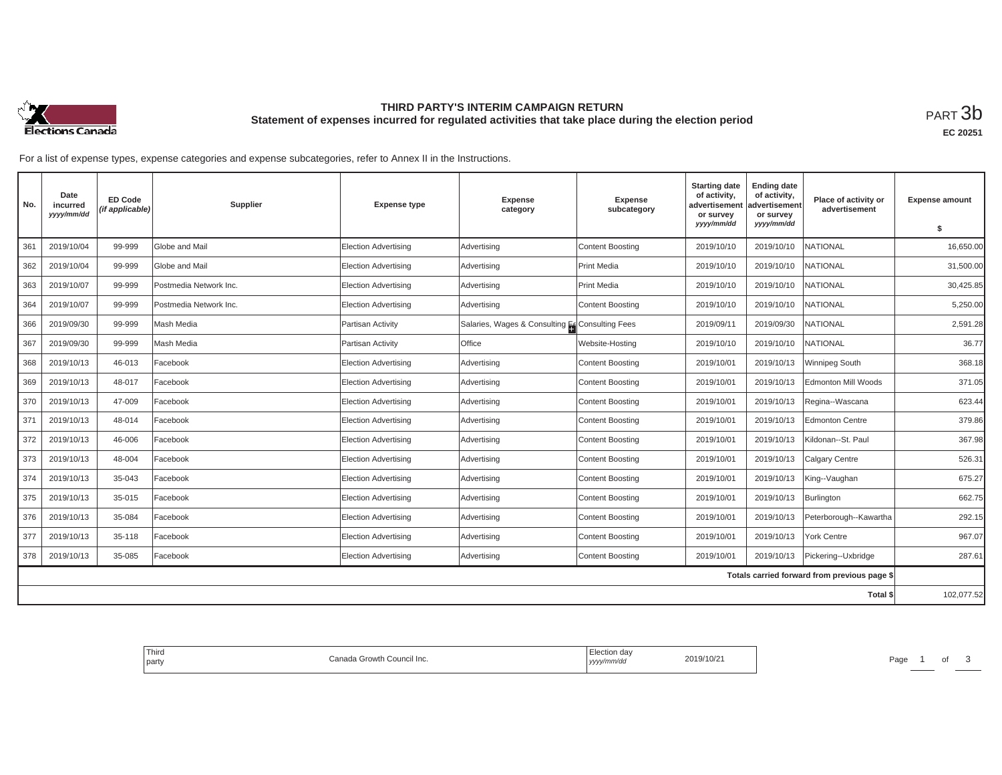

## **THIRD PARTY'S INTERIM CAMPAIGN RETURN Statement of expenses incurred for regulated activities that take place during the election period**<br>РАRТ  $3\mathrm{b}$

| No. | Date<br>incurred<br>yyyy/mm/dd | <b>ED Code</b><br>(if applicable) | <b>Supplier</b>        | <b>Expense type</b>         | Expense<br>category                             | Expense<br>subcategory | <b>Starting date</b><br>of activity,<br>advertisement<br>or survey<br>yyyy/mm/dd | <b>Ending date</b><br>of activity,<br>advertisement<br>or survey<br>yyyy/mm/dd | Place of activity or<br>advertisement        | <b>Expense amount</b><br>s. |
|-----|--------------------------------|-----------------------------------|------------------------|-----------------------------|-------------------------------------------------|------------------------|----------------------------------------------------------------------------------|--------------------------------------------------------------------------------|----------------------------------------------|-----------------------------|
|     |                                |                                   |                        |                             |                                                 |                        |                                                                                  |                                                                                |                                              |                             |
| 361 | 2019/10/04                     | 99-999                            | Globe and Mail         | <b>Election Advertising</b> | Advertising                                     | Content Boosting       | 2019/10/10                                                                       | 2019/10/10                                                                     | <b>NATIONAL</b>                              | 16,650.00                   |
| 362 | 2019/10/04                     | 99-999                            | Globe and Mail         | <b>Election Advertising</b> | Advertising                                     | <b>Print Media</b>     | 2019/10/10                                                                       | 2019/10/10                                                                     | NATIONAL                                     | 31,500.00                   |
| 363 | 2019/10/07                     | 99-999                            | Postmedia Network Inc. | <b>Election Advertising</b> | Advertising                                     | Print Media            | 2019/10/10                                                                       | 2019/10/10                                                                     | NATIONAL                                     | 30,425.85                   |
| 364 | 2019/10/07                     | 99-999                            | Postmedia Network Inc. | <b>Election Advertising</b> | Advertising                                     | Content Boosting       | 2019/10/10                                                                       | 2019/10/10                                                                     | NATIONAL                                     | 5,250.00                    |
| 366 | 2019/09/30                     | 99-999                            | Mash Media             | Partisan Activity           | Salaries, Wages & Consulting Es Consulting Fees |                        | 2019/09/11                                                                       | 2019/09/30                                                                     | NATIONAL                                     | 2,591.28                    |
| 367 | 2019/09/30                     | 99-999                            | Mash Media             | Partisan Activity           | Office                                          | Website-Hosting        | 2019/10/10                                                                       | 2019/10/10                                                                     | NATIONAL                                     | 36.77                       |
| 368 | 2019/10/13                     | 46-013                            | Facebook               | <b>Election Advertising</b> | Advertising                                     | Content Boosting       | 2019/10/01                                                                       | 2019/10/13                                                                     | Winnipeg South                               | 368.18                      |
| 369 | 2019/10/13                     | 48-017                            | Facebook               | <b>Election Advertising</b> | Advertising                                     | Content Boosting       | 2019/10/01                                                                       | 2019/10/13                                                                     | Edmonton Mill Woods                          | 371.05                      |
| 370 | 2019/10/13                     | 47-009                            | Facebook               | <b>Election Advertising</b> | Advertising                                     | Content Boosting       | 2019/10/01                                                                       | 2019/10/13                                                                     | Regina--Wascana                              | 623.44                      |
| 371 | 2019/10/13                     | 48-014                            | Facebook               | <b>Election Advertising</b> | Advertising                                     | Content Boosting       | 2019/10/01                                                                       | 2019/10/13                                                                     | Edmonton Centre                              | 379.86                      |
| 372 | 2019/10/13                     | 46-006                            | Facebook               | <b>Election Advertising</b> | Advertising                                     | Content Boosting       | 2019/10/01                                                                       | 2019/10/13                                                                     | Kildonan--St. Paul                           | 367.98                      |
| 373 | 2019/10/13                     | 48-004                            | Facebook               | <b>Election Advertising</b> | Advertising                                     | Content Boosting       | 2019/10/01                                                                       | 2019/10/13                                                                     | Calgary Centre                               | 526.31                      |
| 374 | 2019/10/13                     | 35-043                            | Facebook               | <b>Election Advertising</b> | Advertising                                     | Content Boosting       | 2019/10/01                                                                       | 2019/10/13                                                                     | King--Vaughan                                | 675.27                      |
| 375 | 2019/10/13                     | 35-015                            | Facebook               | Election Advertising        | Advertising                                     | Content Boosting       | 2019/10/01                                                                       | 2019/10/13                                                                     | Burlington                                   | 662.75                      |
| 376 | 2019/10/13                     | 35-084                            | Facebook               | <b>Election Advertising</b> | Advertising                                     | Content Boosting       | 2019/10/01                                                                       | 2019/10/13                                                                     | Peterborough--Kawartha                       | 292.15                      |
| 377 | 2019/10/13                     | 35-118                            | Facebook               | <b>Election Advertising</b> | Advertising                                     | Content Boosting       | 2019/10/01                                                                       | 2019/10/13                                                                     | <b>York Centre</b>                           | 967.07                      |
| 378 | 2019/10/13                     | 35-085                            | Facebook               | <b>Election Advertising</b> | Advertising                                     | Content Boosting       | 2019/10/01                                                                       | 2019/10/13                                                                     | Pickering--Uxbridge                          | 287.61                      |
|     |                                |                                   |                        |                             |                                                 |                        |                                                                                  |                                                                                | Totals carried forward from previous page \$ |                             |
|     |                                |                                   |                        |                             |                                                 |                        |                                                                                  |                                                                                | Total \$                                     | 102,077.52                  |

| Third<br><b>Darty</b> | › Council Inc.<br>Canada Growth | Election day<br>  yyyy/mm/aa | 2019/10/2 | Page |  |  |  |
|-----------------------|---------------------------------|------------------------------|-----------|------|--|--|--|
|-----------------------|---------------------------------|------------------------------|-----------|------|--|--|--|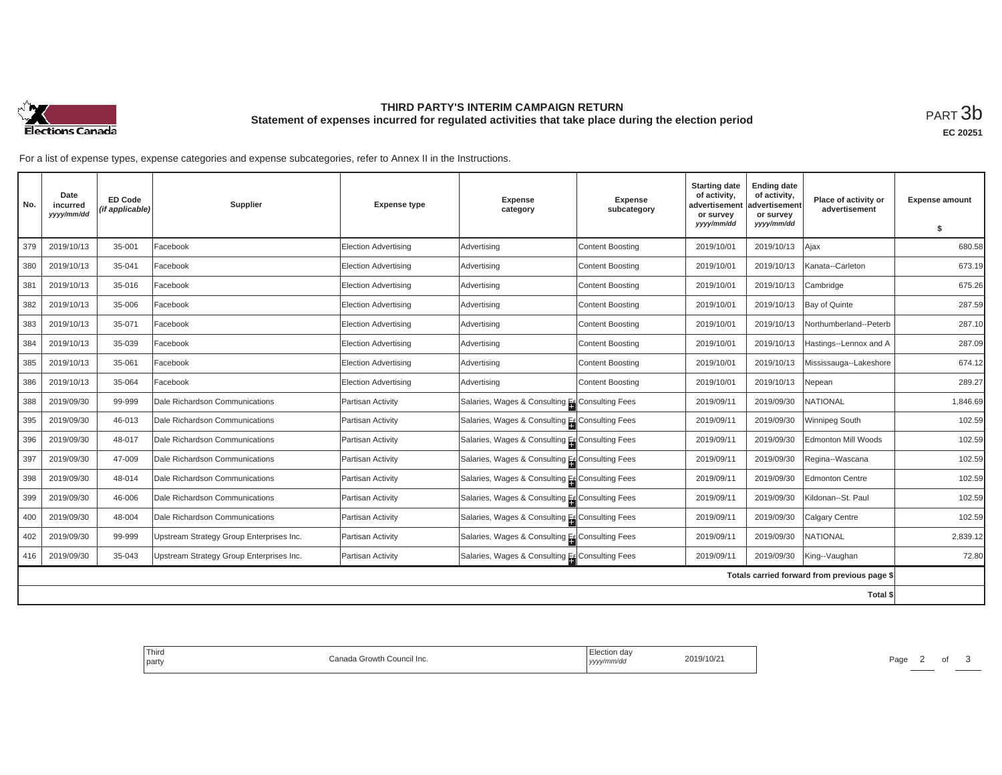

## **THIRD PARTY'S INTERIM CAMPAIGN RETURN Statement of expenses incurred for regulated activities that take place during the election period**<br>РАRТ  $3\mathrm{b}$

**EC 20251**

| No.                                          | Date<br>incurred<br>yyyy/mm/dd | <b>ED Code</b><br>(if applicable) | Supplier                                 | <b>Expense type</b>         | <b>Expense</b><br>category                      | <b>Expense</b><br>subcategory | <b>Starting date</b><br>of activity,<br>advertisement<br>or survey | <b>Ending date</b><br>of activity,<br>advertisement<br>or survey | Place of activity or<br>advertisement | <b>Expense amount</b> |
|----------------------------------------------|--------------------------------|-----------------------------------|------------------------------------------|-----------------------------|-------------------------------------------------|-------------------------------|--------------------------------------------------------------------|------------------------------------------------------------------|---------------------------------------|-----------------------|
|                                              |                                |                                   |                                          |                             |                                                 |                               | yyyy/mm/dd                                                         | yyyy/mm/dd                                                       |                                       | \$                    |
| 379                                          | 2019/10/13                     | 35-001                            | Facebook                                 | <b>Election Advertising</b> | Advertising                                     | <b>Content Boosting</b>       | 2019/10/01                                                         | 2019/10/13                                                       | Ajax                                  | 680.58                |
| 380                                          | 2019/10/13                     | 35-041                            | Facebook                                 | <b>Election Advertising</b> | Advertising                                     | Content Boosting              | 2019/10/01                                                         | 2019/10/13                                                       | Kanata--Carleton                      | 673.19                |
| 381                                          | 2019/10/13                     | 35-016                            | Facebook                                 | <b>Election Advertising</b> | Advertising                                     | Content Boosting              | 2019/10/01                                                         | 2019/10/13                                                       | Cambridge                             | 675.26                |
| 382                                          | 2019/10/13                     | 35-006                            | Facebook                                 | <b>Election Advertising</b> | Advertising                                     | <b>Content Boosting</b>       | 2019/10/01                                                         | 2019/10/13                                                       | Bay of Quinte                         | 287.59                |
| 383                                          | 2019/10/13                     | 35-071                            | Facebook                                 | <b>Election Advertising</b> | Advertising                                     | <b>Content Boosting</b>       | 2019/10/01                                                         | 2019/10/13                                                       | Northumberland--Peterb                | 287.10                |
| 384                                          | 2019/10/13                     | 35-039                            | Facebook                                 | <b>Election Advertising</b> | Advertising                                     | Content Boosting              | 2019/10/01                                                         | 2019/10/13                                                       | Hastings--Lennox and A                | 287.09                |
| 385                                          | 2019/10/13                     | 35-061                            | Facebook                                 | <b>Election Advertising</b> | Advertising                                     | <b>Content Boosting</b>       | 2019/10/01                                                         | 2019/10/13                                                       | Mississauga--Lakeshore                | 674.12                |
| 386                                          | 2019/10/13                     | 35-064                            | Facebook                                 | <b>Election Advertising</b> | Advertising                                     | <b>Content Boosting</b>       | 2019/10/01                                                         | 2019/10/13                                                       | Nepean                                | 289.27                |
| 388                                          | 2019/09/30                     | 99-999                            | Dale Richardson Communications           | Partisan Activity           | Salaries, Wages & Consulting Ec Consulting Fees |                               | 2019/09/11                                                         | 2019/09/30                                                       | NATIONAL                              | 1,846.69              |
| 395                                          | 2019/09/30                     | 46-013                            | Dale Richardson Communications           | Partisan Activity           | Salaries, Wages & Consulting Ec Consulting Fees |                               | 2019/09/11                                                         | 2019/09/30                                                       | Winnipeg South                        | 102.59                |
| 396                                          | 2019/09/30                     | 48-017                            | Dale Richardson Communications           | Partisan Activity           | Salaries, Wages & Consulting Es Consulting Fees |                               | 2019/09/11                                                         | 2019/09/30                                                       | Edmonton Mill Woods                   | 102.59                |
| 397                                          | 2019/09/30                     | 47-009                            | Dale Richardson Communications           | Partisan Activity           | Salaries, Wages & Consulting Es Consulting Fees |                               | 2019/09/11                                                         | 2019/09/30                                                       | Regina--Wascana                       | 102.59                |
| 398                                          | 2019/09/30                     | 48-014                            | Dale Richardson Communications           | Partisan Activity           | Salaries, Wages & Consulting Ec Consulting Fees |                               | 2019/09/11                                                         | 2019/09/30                                                       | <b>Edmonton Centre</b>                | 102.59                |
| 399                                          | 2019/09/30                     | 46-006                            | Dale Richardson Communications           | Partisan Activity           | Salaries, Wages & Consulting Ec Consulting Fees |                               | 2019/09/11                                                         | 2019/09/30                                                       | Kildonan--St. Paul                    | 102.59                |
| 400                                          | 2019/09/30                     | 48-004                            | Dale Richardson Communications           | Partisan Activity           | Salaries, Wages & Consulting Es Consulting Fees |                               | 2019/09/11                                                         | 2019/09/30                                                       | Calgary Centre                        | 102.59                |
| 402                                          | 2019/09/30                     | 99-999                            | Upstream Strategy Group Enterprises Inc. | Partisan Activity           | Salaries, Wages & Consulting Es Consulting Fees |                               | 2019/09/11                                                         | 2019/09/30                                                       | <b>NATIONAL</b>                       | 2,839.12              |
| 416                                          | 2019/09/30                     | 35-043                            | Upstream Strategy Group Enterprises Inc. | Partisan Activity           | Salaries, Wages & Consulting Ec Consulting Fees |                               | 2019/09/11                                                         | 2019/09/30                                                       | King--Vaughan                         | 72.80                 |
| Totals carried forward from previous page \$ |                                |                                   |                                          |                             |                                                 |                               |                                                                    |                                                                  |                                       |                       |
|                                              |                                |                                   |                                          |                             |                                                 |                               |                                                                    |                                                                  | Total \$                              |                       |

| Third<br>Canada Growth Council Inc.<br>party | Election day<br>2019/10/21<br>.<br>/mm/da<br>  УУУУ | Page |
|----------------------------------------------|-----------------------------------------------------|------|
|----------------------------------------------|-----------------------------------------------------|------|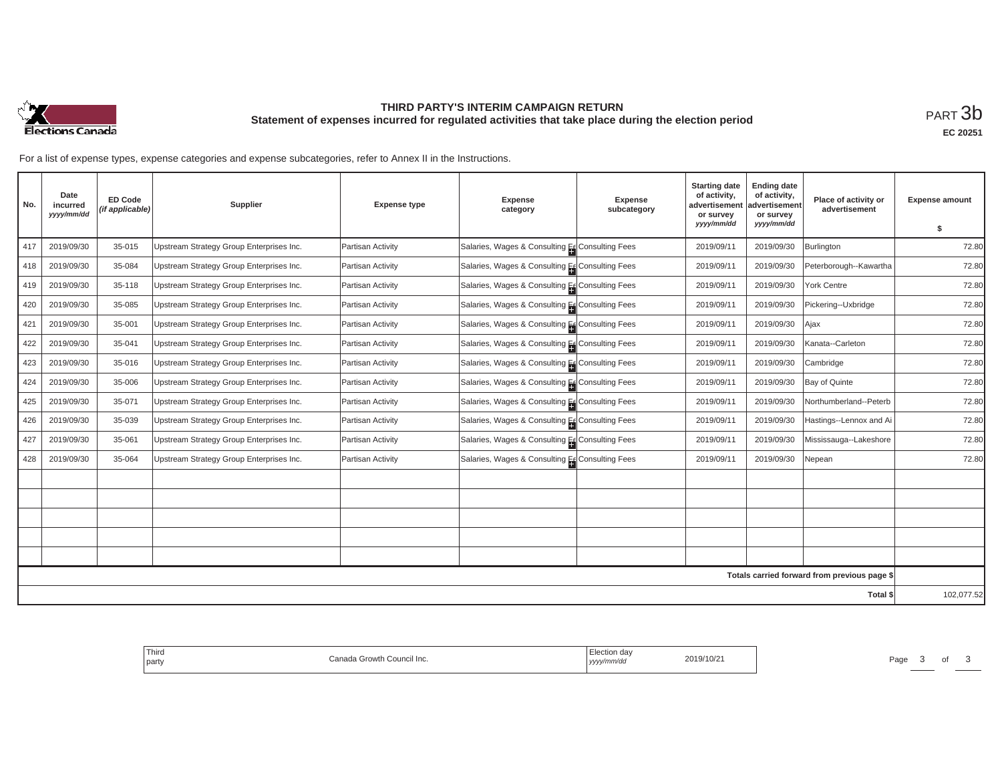

## **THIRD PARTY'S INTERIM CAMPAIGN RETURN Statement of expenses incurred for regulated activities that take place during the election period**<br>РАRТ  $3\mathrm{b}$

| No. | Date<br>incurred<br>yyyy/mm/dd | <b>ED Code</b><br>(if applicable) | Supplier                                 | <b>Expense type</b> | Expense<br>category                             | Expense<br>subcategory | <b>Starting date</b><br>of activity,<br>advertisemen<br>or survey | <b>Ending date</b><br>of activity,<br>advertisement<br>or survey | Place of activity or<br>advertisement        | <b>Expense amount</b> |
|-----|--------------------------------|-----------------------------------|------------------------------------------|---------------------|-------------------------------------------------|------------------------|-------------------------------------------------------------------|------------------------------------------------------------------|----------------------------------------------|-----------------------|
|     |                                |                                   |                                          |                     |                                                 |                        | yyyy/mm/dd                                                        | yyyy/mm/dd                                                       |                                              | s.                    |
| 417 | 2019/09/30                     | 35-015                            | Upstream Strategy Group Enterprises Inc. | Partisan Activity   | Salaries, Wages & Consulting Es Consulting Fees |                        | 2019/09/11                                                        | 2019/09/30                                                       | <b>Burlington</b>                            | 72.80                 |
| 418 | 2019/09/30                     | 35-084                            | Upstream Strategy Group Enterprises Inc. | Partisan Activity   | Salaries, Wages & Consulting Es Consulting Fees |                        | 2019/09/11                                                        | 2019/09/30                                                       | Peterborough--Kawartha                       | 72.80                 |
| 419 | 2019/09/30                     | 35-118                            | Upstream Strategy Group Enterprises Inc. | Partisan Activity   | Salaries, Wages & Consulting Es Consulting Fees |                        | 2019/09/11                                                        | 2019/09/30                                                       | York Centre                                  | 72.80                 |
| 420 | 2019/09/30                     | 35-085                            | Upstream Strategy Group Enterprises Inc. | Partisan Activity   | Salaries, Wages & Consulting Es Consulting Fees |                        | 2019/09/11                                                        | 2019/09/30                                                       | Pickering--Uxbridge                          | 72.80                 |
| 421 | 2019/09/30                     | 35-001                            | Upstream Strategy Group Enterprises Inc. | Partisan Activity   | Salaries, Wages & Consulting Es Consulting Fees |                        | 2019/09/11                                                        | 2019/09/30                                                       | Ajax                                         | 72.80                 |
| 422 | 2019/09/30                     | 35-041                            | Upstream Strategy Group Enterprises Inc. | Partisan Activity   | Salaries, Wages & Consulting Ec Consulting Fees |                        | 2019/09/11                                                        | 2019/09/30                                                       | Kanata--Carleton                             | 72.80                 |
| 423 | 2019/09/30                     | 35-016                            | Upstream Strategy Group Enterprises Inc. | Partisan Activity   | Salaries, Wages & Consulting Es Consulting Fees |                        | 2019/09/11                                                        | 2019/09/30                                                       | Cambridge                                    | 72.80                 |
| 424 | 2019/09/30                     | 35-006                            | Upstream Strategy Group Enterprises Inc. | Partisan Activity   | Salaries, Wages & Consulting EcConsulting Fees  |                        | 2019/09/11                                                        | 2019/09/30                                                       | Bay of Quinte                                | 72.80                 |
| 425 | 2019/09/30                     | 35-071                            | Upstream Strategy Group Enterprises Inc. | Partisan Activity   | Salaries, Wages & Consulting Es Consulting Fees |                        | 2019/09/11                                                        | 2019/09/30                                                       | Northumberland--Peterb                       | 72.80                 |
| 426 | 2019/09/30                     | 35-039                            | Upstream Strategy Group Enterprises Inc. | Partisan Activity   | Salaries, Wages & Consulting Es Consulting Fees |                        | 2019/09/11                                                        | 2019/09/30                                                       | Hastings--Lennox and Ai                      | 72.80                 |
| 427 | 2019/09/30                     | 35-061                            | Upstream Strategy Group Enterprises Inc. | Partisan Activity   | Salaries, Wages & Consulting Es Consulting Fees |                        | 2019/09/11                                                        | 2019/09/30                                                       | Mississauga--Lakeshore                       | 72.80                 |
| 428 | 2019/09/30                     | 35-064                            | Upstream Strategy Group Enterprises Inc. | Partisan Activity   | Salaries, Wages & Consulting Ec Consulting Fees |                        | 2019/09/11                                                        | 2019/09/30                                                       | Nepean                                       | 72.80                 |
|     |                                |                                   |                                          |                     |                                                 |                        |                                                                   |                                                                  |                                              |                       |
|     |                                |                                   |                                          |                     |                                                 |                        |                                                                   |                                                                  |                                              |                       |
|     |                                |                                   |                                          |                     |                                                 |                        |                                                                   |                                                                  |                                              |                       |
|     |                                |                                   |                                          |                     |                                                 |                        |                                                                   |                                                                  |                                              |                       |
|     |                                |                                   |                                          |                     |                                                 |                        |                                                                   |                                                                  |                                              |                       |
|     |                                |                                   |                                          |                     |                                                 |                        |                                                                   |                                                                  | Totals carried forward from previous page \$ |                       |
|     |                                |                                   |                                          |                     |                                                 |                        |                                                                   |                                                                  | Total \$                                     | 102,077.52            |

| $-1$<br>' Third<br>Council Inc.<br>nnn<br>. wth:<br>party<br>ا ہے۔ | $\sim$ $\sim$<br>2019/10/21<br>mmvuu<br>,,,,, | Page<br>. |
|--------------------------------------------------------------------|-----------------------------------------------|-----------|
|--------------------------------------------------------------------|-----------------------------------------------|-----------|